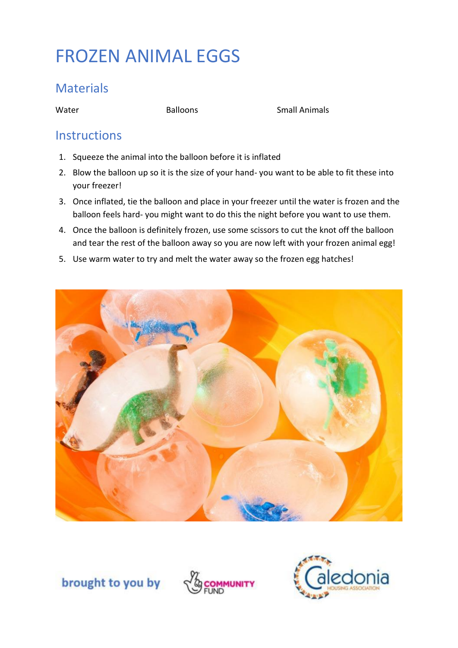# FROZEN ANIMAL EGGS

#### **Materials**

Water **Balloons** Balloons **Small Animals** 

#### **Instructions**

- 1. Squeeze the animal into the balloon before it is inflated
- 2. Blow the balloon up so it is the size of your hand- you want to be able to fit these into your freezer!
- 3. Once inflated, tie the balloon and place in your freezer until the water is frozen and the balloon feels hard- you might want to do this the night before you want to use them.
- 4. Once the balloon is definitely frozen, use some scissors to cut the knot off the balloon and tear the rest of the balloon away so you are now left with your frozen animal egg!
- 5. Use warm water to try and melt the water away so the frozen egg hatches!



brought to you by